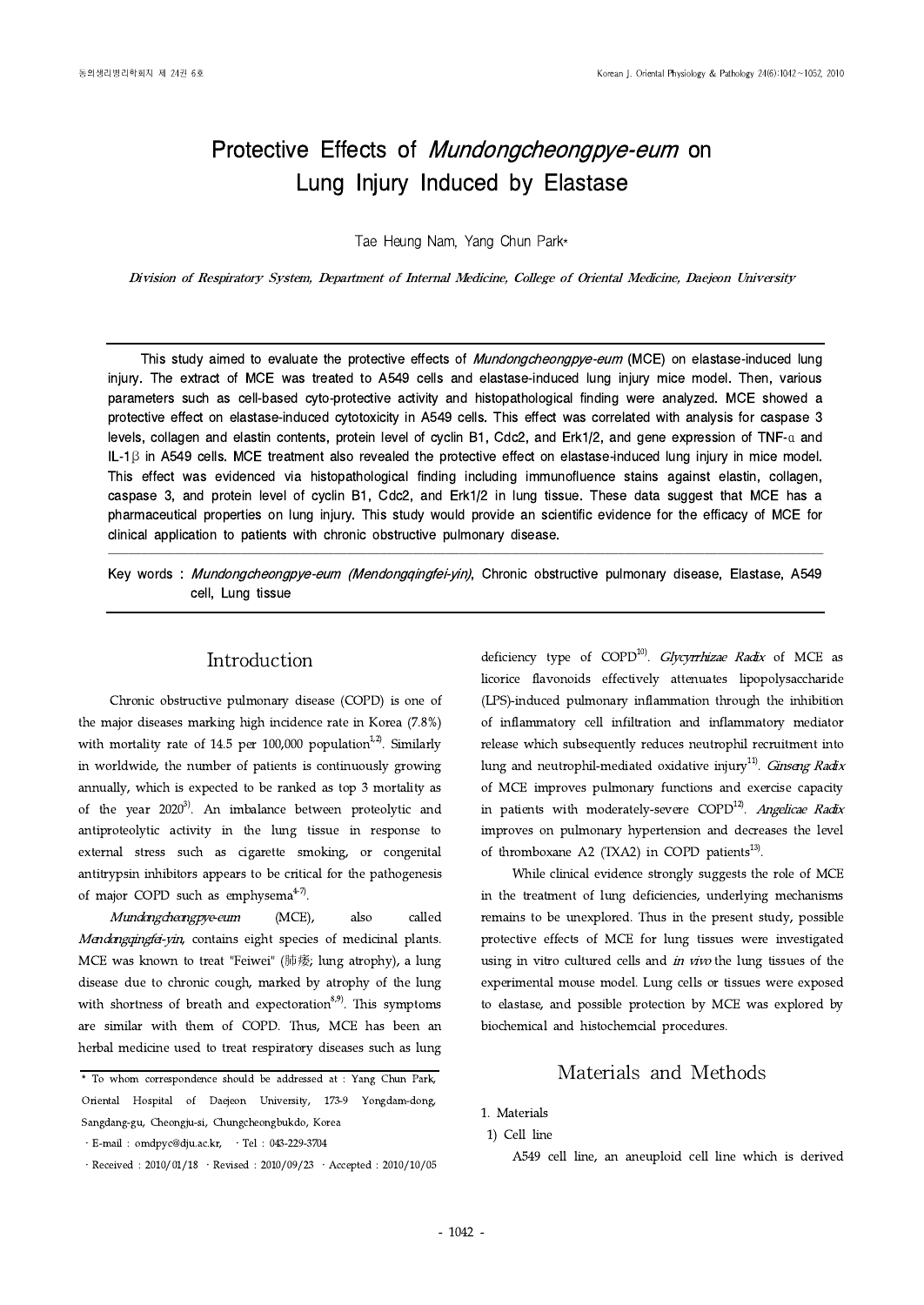# Protective Effects of *Mundongcheongpye-eum* on Lung Injury Induced by Elastase

Tae Heung Nam, Yang Chun Park\*

Division of Respiratory System, Department of Internal Medicine, College of Oriental Medicine, Daejeon University

This study aimed to evaluate the protective effects of Mundongcheongpye-eum (MCE) on elastase-induced lung injury. The extract of MCE was treated to A549 cells and elastase-induced lung injury mice model. Then, various parameters such as cell-based cyto-protective activity and histopathological finding were analyzed. MCE showed a protective effect on elastase-induced cytotoxicity in A549 cells. This effect was correlated with analysis for caspase 3 levels, collagen and elastin contents, protein level of cyclin B1, Cdc2, and Erk1/2, and gene expression of TNF-α and IL-1β in A549 cells. MCE treatment also revealed the protective effect on elastase-induced lung injury in mice model. This effect was evidenced via histopathological finding including immunofluence stains against elastin, collagen, caspase 3, and protein level of cyclin B1, Cdc2, and Erk1/2 in lung tissue. These data suggest that MCE has a pharmaceutical properties on lung injury. This study would provide an scientific evidence for the efficacy of MCE for clinical application to patients with chronic obstructive pulmonary disease.

Key words : Mundongcheongpye-eum (Mendongqingfei-yin), Chronic obstructive pulmonary disease, Elastase, A549 cell, Lung tissue

<u>. In the case of the contract of the contract of the contract of the contract of the contract of the contract of the contract of the contract of the contract of the contract of the contract of the contract of the contract</u>

## Introduction

Chronic obstructive pulmonary disease (COPD) is one of the major diseases marking high incidence rate in Korea (7.8%) with mortality rate of 14.5 per 100,000 population<sup>1,2)</sup>. Similarly in worldwide, the number of patients is continuously growing annually, which is expected to be ranked as top 3 mortality as of the year  $2020^{3}$ . An imbalance between proteolytic and antiproteolytic activity in the lung tissue in response to external stress such as cigarette smoking, or congenital antitrypsin inhibitors appears to be critical for the pathogenesis of major COPD such as emphysema $4-7$ .

Mundongcheongpye-eum (MCE), also called Mendongqingfei-yin, contains eight species of medicinal plants. MCE was known to treat "Feiwei" (肺痿; lung atrophy), a lung disease due to chronic cough, marked by atrophy of the lung with shortness of breath and expectoration $8,9$ . This symptoms are similar with them of COPD. Thus, MCE has been an herbal medicine used to treat respiratory diseases such as lung deficiency type of  $COPD^{10}$ . *Glycyrrhizae Radix* of MCE as licorice flavonoids effectively attenuates lipopolysaccharide (LPS)-induced pulmonary inflammation through the inhibition of inflammatory cell infiltration and inflammatory mediator release which subsequently reduces neutrophil recruitment into lung and neutrophil-mediated oxidative injury<sup>11)</sup>. *Ginseng Radix* of MCE improves pulmonary functions and exercise capacity in patients with moderately-severe  $\text{COPD}^{12}$ . Angelicae Radix improves on pulmonary hypertension and decreases the level of thromboxane A2 (TXA2) in COPD patients $^{13)}$ .

While clinical evidence strongly suggests the role of MCE in the treatment of lung deficiencies, underlying mechanisms remains to be unexplored. Thus in the present study, possible protective effects of MCE for lung tissues were investigated using in vitro cultured cells and in vivo the lung tissues of the experimental mouse model. Lung cells or tissues were exposed to elastase, and possible protection by MCE was explored by biochemical and histochemcial procedures.

# Materials and Methods

A549 cell line, an aneuploid cell line which is derived

<sup>\*</sup> To whom correspondence should be addressed at : Yang Chun Park, Oriental Hospital of Daejeon University, 173-9 Yongdam-dong, Sangdang-gu, Cheongju-si, Chungcheongbukdo, Korea

 $\cdot$  E-mail : omdpyc@dju.ac.kr,  $\cdot$  Tel : 043-229-3704

 $\cdot$  Received : 2010/01/18  $\cdot$  Revised : 2010/09/23  $\cdot$  Accepted : 2010/10/05

<sup>1.</sup> Materials

<sup>1)</sup> Cell line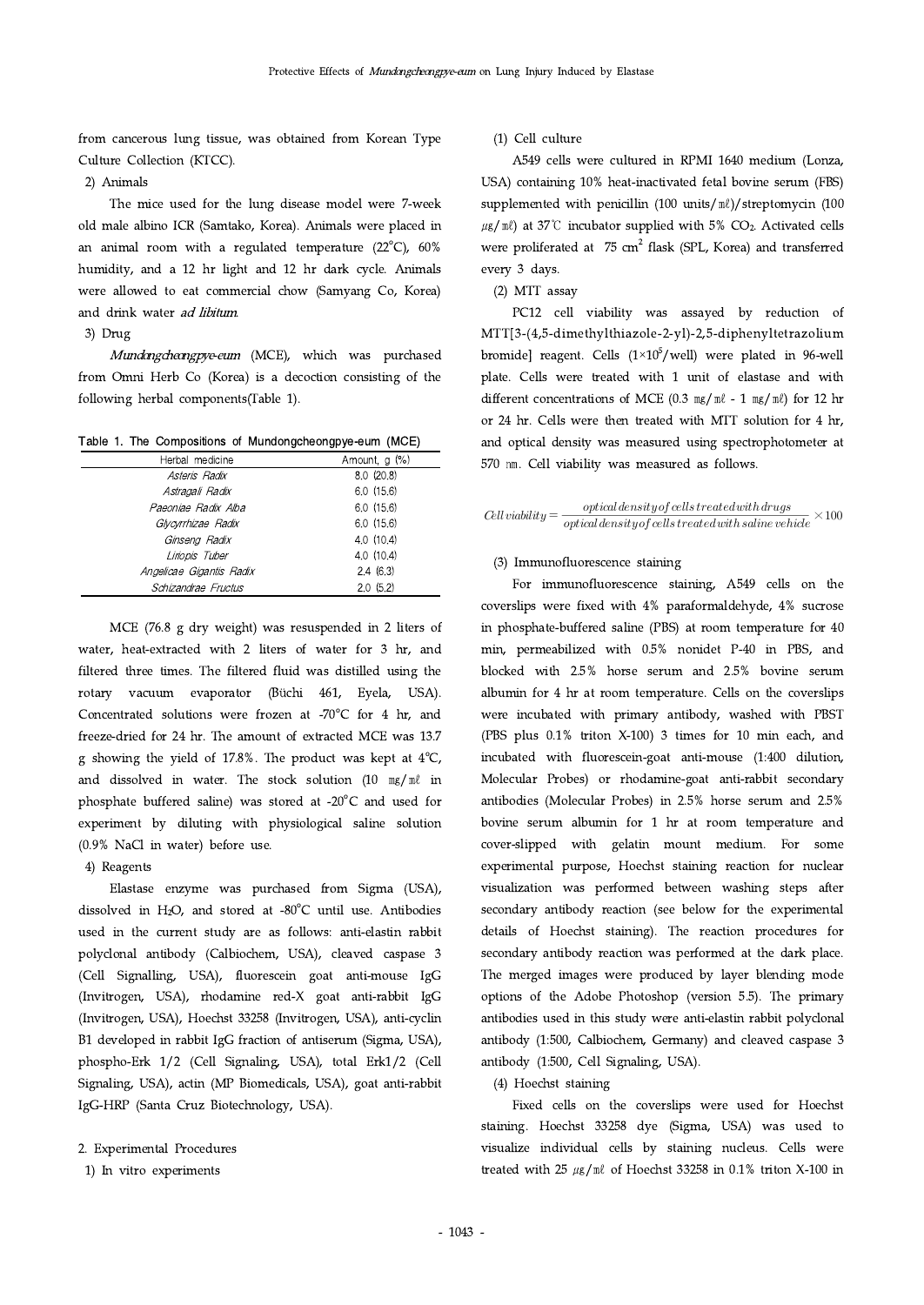from cancerous lung tissue, was obtained from Korean Type Culture Collection (KTCC).

2) Animals

The mice used for the lung disease model were 7-week old male albino ICR (Samtako, Korea). Animals were placed in an animal room with a regulated temperature  $(22^{\circ}C)$ , 60% humidity, and a 12 hr light and 12 hr dark cycle. Animals were allowed to eat commercial chow (Samyang Co, Korea) and drink water ad libitum.

## 3) Drug

Mundongcheongpye-eum (MCE), which was purchased from Omni Herb Co (Korea) is a decoction consisting of the following herbal components(Table 1).

Table 1. The Compositions of Mundongcheongpye-eum (MCE)

| Herbal medicine          | Amount, $g(\%)$ |
|--------------------------|-----------------|
| Asteris Radix            | 8.0(20.8)       |
| Astragali Radix          | 6.0(15.6)       |
| Paeoniae Radix Alba      | 6.0(15.6)       |
| Glycyrrhizae Radix       | 6.0(15.6)       |
| Ginseng Radix            | 4.0 (10.4)      |
| Liriopis Tuber           | 4.0(10.4)       |
| Angelicae Gigantis Radix | 2.4(6.3)        |
| Schizandrae Fructus      | 2.0(5.2)        |

MCE (76.8 g dry weight) was resuspended in 2 liters of water, heat-extracted with 2 liters of water for 3 hr, and filtered three times. The filtered fluid was distilled using the rotary vacuum evaporator (Büchi 461, Eyela, USA). Concentrated solutions were frozen at -70 $^{\circ}$ C for 4 hr, and freeze-dried for 24 hr. The amount of extracted MCE was 13.7 g showing the yield of 17.8%. The product was kept at  $4^{\circ}C$ , and dissolved in water. The stock solution (10  $mg/m\ell$  in phosphate buffered saline) was stored at -20 $^{\circ}$ C and used for experiment by diluting with physiological saline solution (0.9% NaCl in water) before use.

## 4) Reagents

Elastase enzyme was purchased from Sigma (USA), dissolved in H<sub>2</sub>O, and stored at -80 $^{\circ}$ C until use. Antibodies used in the current study are as follows: anti-elastin rabbit polyclonal antibody (Calbiochem, USA), cleaved caspase 3 (Cell Signalling, USA), fluorescein goat anti-mouse IgG (Invitrogen, USA), rhodamine red-X goat anti-rabbit IgG (Invitrogen, USA), Hoechst 33258 (Invitrogen, USA), anti-cyclin B1 developed in rabbit IgG fraction of antiserum (Sigma, USA), phospho-Erk 1/2 (Cell Signaling, USA), total Erk1/2 (Cell Signaling, USA), actin (MP Biomedicals, USA), goat anti-rabbit IgG-HRP (Santa Cruz Biotechnology, USA).

## 2. Experimental Procedures

1) In vitro experiments

(1) Cell culture

A549 cells were cultured in RPMI 1640 medium (Lonza, USA) containing 10% heat-inactivated fetal bovine serum (FBS) supplemented with penicillin (100 units/ $M/\text{s}$ treptomycin (100  $\mu$ g/ml) at 37°C incubator supplied with 5% CO<sub>2</sub>. Activated cells were proliferated at  $75 \text{ cm}^2$  flask (SPL, Korea) and transferred every 3 days.

(2) MTT assay

PC12 cell viability was assayed by reduction of MTT[3-(4,5-dimethylthiazole-2-yl)-2,5-diphenyltetrazolium bromide] reagent. Cells  $(1\times10^5/\text{well})$  were plated in 96-well plate. Cells were treated with 1 unit of elastase and with different concentrations of MCE (0.3  $mg/m\ell$  - 1  $mg/m\ell$ ) for 12 hr or 24 hr. Cells were then treated with MTT solution for 4 hr, and optical density was measured using spectrophotometer at 570 ㎚. Cell viability was measured as follows. (1) Cell culture<br>
A549 cells were cultured in RPMI 1640 medium (Lonza,<br>
A549 cells were cultured in RPMI 1640 medium (Lonza,<br>
SSA) containing 10% heat-inactivated fetal bovine serum (FBS)<br>
supplemented with penicillin (10

$$
Cell viability = \frac{optical density of cells \, treated with \, drugs}{optical \, density of \,cells \, treated with \, saline \, vehicle} \times 100
$$

## (3) Immunofluorescence staining

For immunofluorescence staining, A549 cells on the coverslips were fixed with 4% paraformaldehyde, 4% sucrose in phosphate-buffered saline (PBS) at room temperature for 40 min, permeabilized with 0.5% nonidet P-40 in PBS, and blocked with 2.5% horse serum and 2.5% bovine serum albumin for 4 hr at room temperature. Cells on the coverslips were incubated with primary antibody, washed with PBST (PBS plus 0.1% triton X-100) 3 times for 10 min each, and incubated with fluorescein-goat anti-mouse (1:400 dilution, Molecular Probes) or rhodamine-goat anti-rabbit secondary antibodies (Molecular Probes) in 2.5% horse serum and 2.5% bovine serum albumin for 1 hr at room temperature and cover-slipped with gelatin mount medium. For some experimental purpose, Hoechst staining reaction for nuclear visualization was performed between washing steps after secondary antibody reaction (see below for the experimental details of Hoechst staining). The reaction procedures for secondary antibody reaction was performed at the dark place. The merged images were produced by layer blending mode options of the Adobe Photoshop (version 5.5). The primary antibodies used in this study were anti-elastin rabbit polyclonal antibody (1:500, Calbiochem, Germany) and cleaved caspase 3 antibody (1:500, Cell Signaling, USA).

(4) Hoechst staining

Fixed cells on the coverslips were used for Hoechst staining. Hoechst 33258 dye (Sigma, USA) was used to visualize individual cells by staining nucleus. Cells were treated with 25  $\mu$ g/ml of Hoechst 33258 in 0.1% triton X-100 in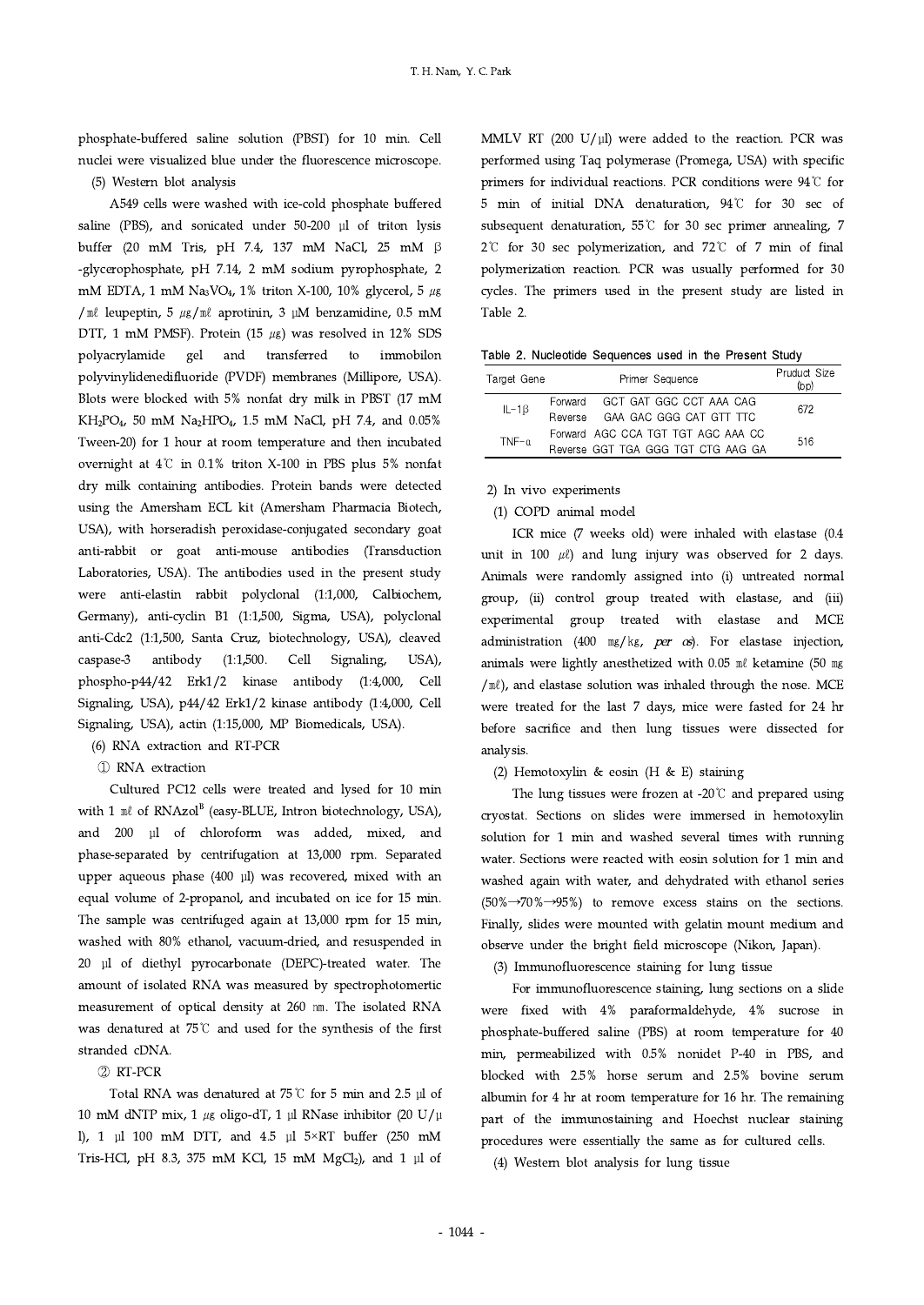phosphate-buffered saline solution (PBST) for 10 min. Cell nuclei were visualized blue under the fluorescence microscope.

(5) Western blot analysis

A549 cells were washed with ice-cold phosphate buffered saline (PBS), and sonicated under 50-200 μl of triton lysis buffer (20 mM Tris, pH 7.4, 137 mM NaCl, 25 mM β -glycerophosphate, pH 7.14, 2 mM sodium pyrophosphate, 2 mM EDTA, 1 mM Na<sub>3</sub>VO<sub>4</sub>, 1% triton X-100, 10% glycerol, 5  $\mu$ g / $\mathbb{R}$  leupeptin, 5  $\mu$ g/ $\mathbb{R}$  aprotinin, 3  $\mu$ M benzamidine, 0.5 mM DTT, 1 mM PMSF). Protein (15  $\mu$ g) was resolved in 12% SDS polyacrylamide gel and transferred to immobilon polyvinylidenedifluoride (PVDF) membranes (Millipore, USA). Blots were blocked with 5% nonfat dry milk in PBST (17 mM KH2PO4, 50 mM Na2HPO4, 1.5 mM NaCl, pH 7.4, and 0.05% Tween-20) for 1 hour at room temperature and then incubated overnight at 4℃ in 0.1% triton X-100 in PBS plus 5% nonfat dry milk containing antibodies. Protein bands were detected using the Amersham ECL kit (Amersham Pharmacia Biotech, USA), with horseradish peroxidase-conjugated secondary goat anti-rabbit or goat anti-mouse antibodies (Transduction Laboratories, USA). The antibodies used in the present study were anti-elastin rabbit polyclonal (1:1,000, Calbiochem, Germany), anti-cyclin B1 (1:1,500, Sigma, USA), polyclonal anti-Cdc2 (1:1,500, Santa Cruz, biotechnology, USA), cleaved caspase-3 antibody (1:1,500. Cell Signaling, USA), phospho-p44/42 Erk1/2 kinase antibody (1:4,000, Cell Signaling, USA), p44/42 Erk1/2 kinase antibody (1:4,000, Cell Signaling, USA), actin (1:15,000, MP Biomedicals, USA).

- (6) RNA extraction and RT-PCR
- ① RNA extraction

Cultured PC12 cells were treated and lysed for 10 min with 1  $\mathbb{R}$  of RNAzol<sup>B</sup> (easy-BLUE, Intron biotechnology, USA), and 200 μl of chloroform was added, mixed, and phase-separated by centrifugation at 13,000 rpm. Separated upper aqueous phase (400 μl) was recovered, mixed with an equal volume of 2-propanol, and incubated on ice for 15 min. The sample was centrifuged again at 13,000 rpm for 15 min, washed with 80% ethanol, vacuum-dried, and resuspended in 20 μlof diethyl pyrocarbonate (DEPC)-treated water. The amount of isolated RNA was measured by spectrophotomertic measurement of optical density at 260 ㎚. The isolated RNA was denatured at 75℃ and used for the synthesis of the first stranded cDNA.

## ② RT-PCR

Total RNA was denatured at 75℃ for 5 min and 2.5 μl of 10 mM dNTP mix, 1  $\mu$ g oligo-dT, 1 μl RNase inhibitor (20 U/μ l), 1 μl 100 mM DTT, and 4.5 μl  $5\times RT$  buffer (250 mM Tris-HCl, pH 8.3, 375 mM KCl, 15 mM MgCl<sub>2</sub>), and 1 μl of MMLV RT (200 U/μl) were added to the reaction. PCR was performed using Taq polymerase (Promega, USA) with specific primers for individual reactions. PCR conditions were 94℃ for 5 min of initial DNA denaturation, 94℃ for 30 sec of subsequent denaturation, 55℃ for 30 sec primer annealing, 7 2℃ for 30 sec polymerization, and 72℃ of 7 min of final polymerization reaction. PCR was usually performed for 30 cycles. The primers used in the present study are listed in Table 2.

|  | Table 2. Nucleotide Sequences used in the Present Study |  |  |  |
|--|---------------------------------------------------------|--|--|--|
|  |                                                         |  |  |  |

| Target Gene   |         | Primer Sequence                    | Pruduct Size<br>(bp) |  |
|---------------|---------|------------------------------------|----------------------|--|
| $IL - 1\beta$ |         | Forward GCT GAT GGC CCT AAA CAG    | 672                  |  |
|               | Reverse | GAA GAC GGG CAT GTT TTC            |                      |  |
| $TNF-a$       |         | Forward AGC CCA TGT TGT AGC AAA CC | 516                  |  |
|               |         | Reverse GGT TGA GGG TGT CTG AAG GA |                      |  |

2) In vivo experiments

(1) COPD animal model

ICR mice (7 weeks old) were inhaled with elastase (0.4 unit in 100  $\mu$ ) and lung injury was observed for 2 days. Animals were randomly assigned into (i) untreated normal group, (ii) control group treated with elastase, and (iii) experimental group treated with elastase and MCE administration (400  $\text{mg/kg}$ , per  $\alpha s$ ). For elastase injection, animals were lightly anesthetized with 0.05 ml ketamine (50 mg  $/m\ell$ ), and elastase solution was inhaled through the nose. MCE were treated for the last 7 days, mice were fasted for 24 hr before sacrifice and then lung tissues were dissected for analysis.

(2) Hemotoxylin & eosin (H & E) staining

The lung tissues were frozen at -20℃ and prepared using cryostat. Sections on slides were immersed in hemotoxylin solution for 1 min and washed several times with running water. Sections were reacted with eosin solution for 1 min and washed again with water, and dehydrated with ethanol series  $(50\% \rightarrow 70\% \rightarrow 95\%)$  to remove excess stains on the sections. Finally, slides were mounted with gelatin mount medium and observe under the bright field microscope (Nikon, Japan).

(3) Immunofluorescence staining for lung tissue

For immunofluorescence staining, lung sections on a slide were fixed with 4% paraformaldehyde, 4% sucrose in phosphate-buffered saline (PBS) at room temperature for 40 min, permeabilized with 0.5% nonidet P-40 in PBS, and blocked with 2.5% horse serum and 2.5% bovine serum albumin for 4 hr at room temperature for 16 hr. The remaining part of the immunostaining and Hoechst nuclear staining procedures were essentially the same as for cultured cells.

(4) Western blot analysis for lung tissue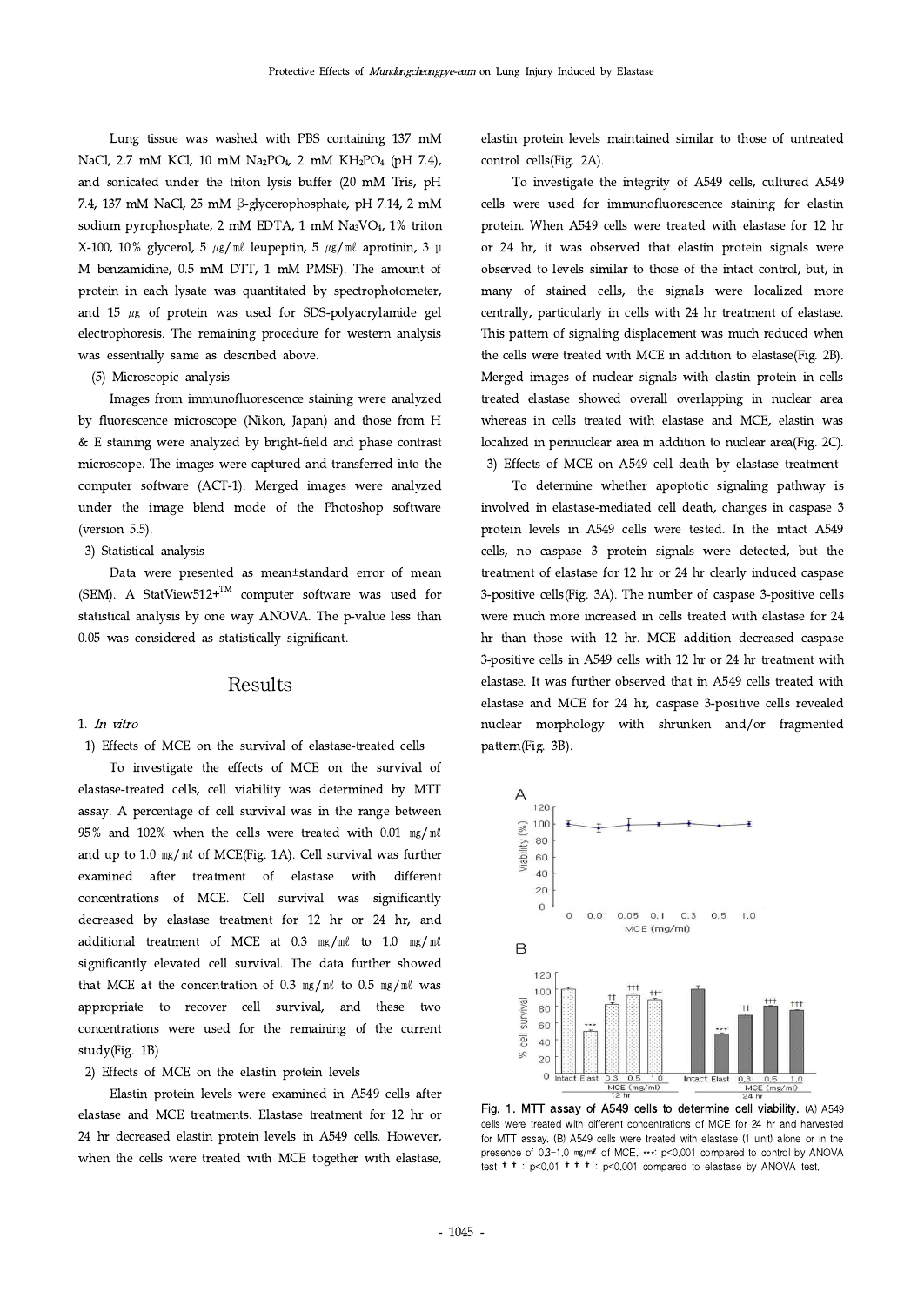Lung tissue was washed with PBS containing 137 mM NaCl, 2.7 mM KCl, 10 mM Na<sub>2</sub>PO<sub>4</sub>, 2 mM KH<sub>2</sub>PO<sub>4</sub> (pH 7.4), and sonicated under the triton lysis buffer (20 mM Tris, pH 7.4, 137 mM NaCl, 25 mM β-glycerophosphate, pH 7.14, 2 mM sodium pyrophosphate, 2 mM EDTA, 1 mM Na3VO4, 1% triton X-100, 10% glycerol, 5  $\mu$ g/ml leupeptin, 5  $\mu$ g/ml aprotinin, 3 μ M benzamidine, 0.5 mM DTT, 1 mM PMSF). The amount of protein in each lysate was quantitated by spectrophotometer, and  $15 \mu g$  of protein was used for SDS-polyacrylamide gel electrophoresis. The remaining procedure for western analysis was essentially same as described above.

## (5) Microscopic analysis

Images from immunofluorescence staining were analyzed by fluorescence microscope (Nikon, Japan) and those from H & E staining were analyzed by bright-field and phase contrast microscope. The images were captured and transferred into the computer software (ACT-1). Merged images were analyzed under the image blend mode of the Photoshop software (version 5.5).

## 3) Statistical analysis

Data were presented as mean±standard error of mean (SEM). A StatView512+ $^{TM}$  computer software was used for statistical analysis by one way ANOVA. The p-value less than 0.05 was considered as statistically significant.

## Results

#### 1. In vitro

1) Effects of MCE on the survival of elastase-treated cells

To investigate the effects of MCE on the survival of elastase-treated cells, cell viability was determined by MTT assay. A percentage of cell survival was in the range between 95% and 102% when the cells were treated with 0.01  $mg/m\ell$ <br>and up to 1.0  $mg/m\ell$  of MCE(Fig. 1A). Cell survival was further and up to 1.0 mg/ml of MCE(Fig. 1A). Cell survival was further examined after treatment of elastase with different concentrations of MCE. Cell survival was significantly decreased by elastase treatment for 12 hr or 24 hr, and additional treatment of MCE at 0.3  $mg/m\ell$  to 1.0  $mg/m\ell$  B significantly elevated cell survival. The data further showed that MCE at the concentration of 0.3  $mg/ml$  to 0.5  $mg/ml$  was appropriate to recover cell survival, and these two concentrations were used for the remaining of the current study(Fig. 1B)

### 2) Effects of MCE on the elastin protein levels

Elastin protein levels were examined in A549 cells after elastase and MCE treatments. Elastase treatment for 12 hr or 24 hr decreased elastin protein levels in A549 cells. However, when the cells were treated with MCE together with elastase, elastin protein levels maintained similar to those of untreated control cells(Fig. 2A).

To investigate the integrity of A549 cells, cultured A549 cells were used for immunofluorescence staining for elastin protein. When A549 cells were treated with elastase for 12 hr or 24 hr, it was observed that elastin protein signals were observed to levels similar to those of the intact control, but, in many of stained cells, the signals were localized more centrally, particularly in cells with 24 hr treatment of elastase. This pattern of signaling displacement was much reduced when the cells were treated with MCE in addition to elastase(Fig. 2B). Merged images of nuclear signals with elastin protein in cells treated elastase showed overall overlapping in nuclear area whereas in cells treated with elastase and MCE, elastin was localized in perinuclear area in addition to nuclear area(Fig. 2C). 3) Effects of MCE on A549 cell death by elastase treatment

To determine whether apoptotic signaling pathway is involved in elastase-mediated cell death, changes in caspase 3 protein levels in A549 cells were tested. In the intact A549 cells, no caspase 3 protein signals were detected, but the treatment of elastase for 12 hr or 24 hr clearly induced caspase 3-positive cells(Fig. 3A). The number of caspase 3-positive cells were much more increased in cells treated with elastase for 24 hr than those with 12 hr. MCE addition decreased caspase 3-positive cells in A549 cells with 12 hr or 24 hr treatment with elastase. It was further observed that in A549 cells treated with elastase and MCE for 24 hr, caspase 3-positive cells revealed nuclear morphology with shrunken and/or fragmented pattern(Fig. 3B).



Fig. 1. MTT assay of A549 cells to determine cell viability. (A) A549 cells were treated with different concentrations of MCE for 24 hr and harvested for MTT assay. (B) A549 cells were treated with elastase (1 unit) alone or in the presence of 0.3-1.0 mg/ml of MCE. \*\*\*: p<0.001 compared to control by ANOVA test  $\dagger$   $\dagger$  :  $p < 0.01$   $\dagger$   $\dagger$   $\dagger$  :  $p < 0.001$  compared to elastase by ANOVA test.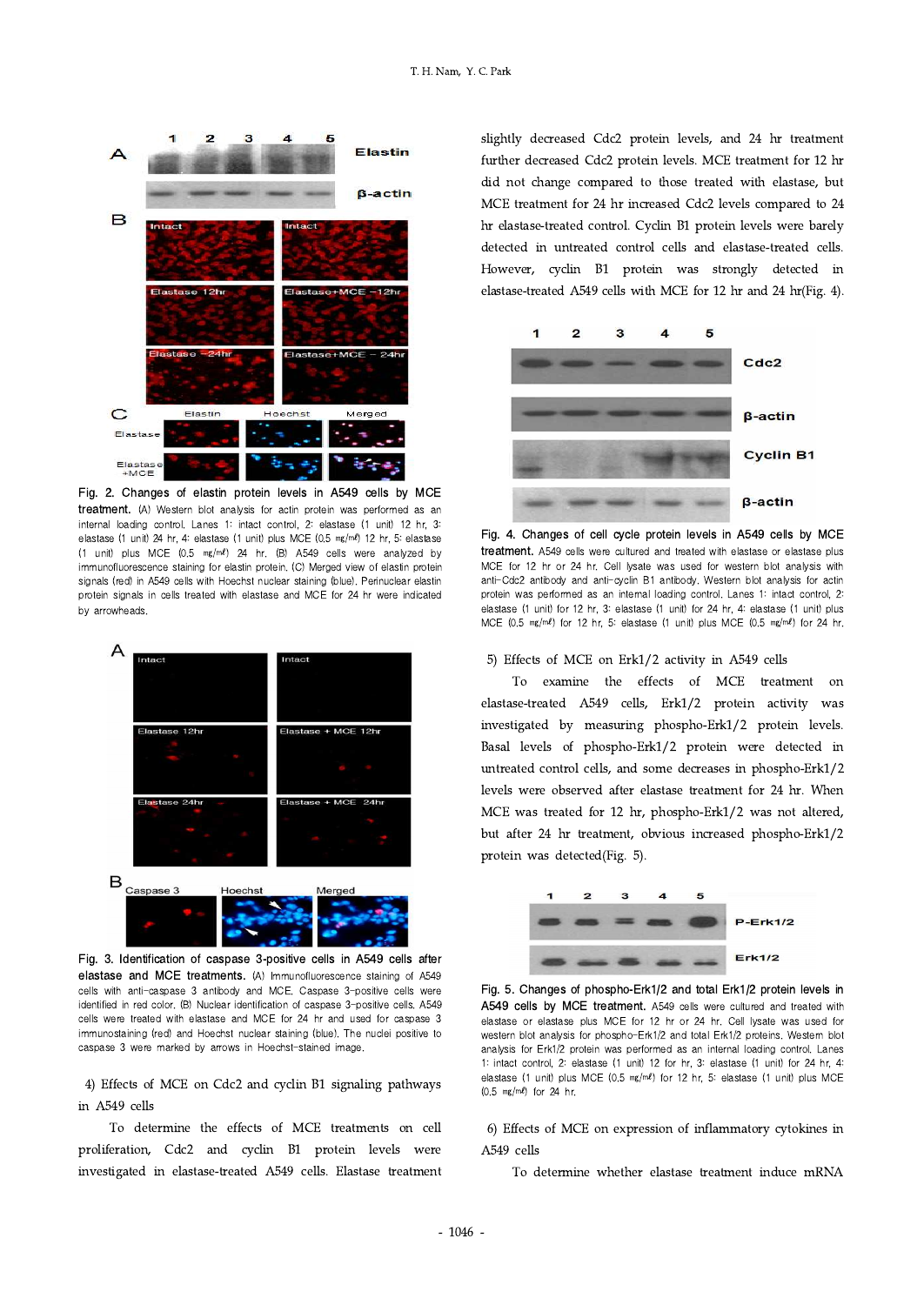

Fig. 2. Changes of elastin protein levels in A549 cells by MCE treatment. (A) Western blot analysis for actin protein was performed as an internal loading control. Lanes 1: intact control, 2: elastase (1 unit) 12 hr, 3: elastase (1 unit) 24 hr, 4: elastase (1 unit) plus MCE (0.5 ㎎/㎖) 12 hr, 5: elastase (1 unit) plus MCE (0.5 ㎎/㎖) 24 hr.(B) A549 cells were analyzed by immunofluorescence staining for elastin protein. (C) Merged view of elastin protein signals (red) in A549 cells with Hoechst nuclear staining (blue). Perinuclear elastin protein signals in cells treated with elastase and MCE for 24 hr were indicated by arrowheads.



Fig. 3. Identification of caspase 3-positive cells in A549 cells after elastase and MCE treatments. (A) Immunofluorescence staining of A549 cells with anti-caspase 3 antibody and MCE. Caspase 3-positive cells were identified in red color. (B) Nuclear identification of caspase 3-positive cells. A549 cells were treated with elastase and MCE for 24 hr and used for caspase 3 immunostaining (red) and Hoechst nuclear staining (blue). The nuclei positive to caspase 3 were marked by arrows in Hoechst-stained image.

4) Effects of MCE on Cdc2 and cyclin B1 signaling pathways in A549 cells

To determine the effects of MCE treatments on cell proliferation, Cdc2 and cyclin B1 protein levels were investigated in elastase-treated A549 cells. Elastase treatment slightly decreased Cdc2 protein levels, and 24 hr treatment further decreased Cdc2 protein levels. MCE treatment for 12 hr did not change compared to those treated with elastase, but MCE treatment for 24 hr increased Cdc2 levels compared to 24 hr elastase-treated control. Cyclin B1 protein levels were barely detected in untreated control cells and elastase-treated cells. However, cyclin B1 protein was strongly detected in elastase-treated A549 cells with MCE for 12 hr and 24 hr(Fig. 4).



Fig. 4. Changes of cell cycle protein levels in A549 cells by MCE treatment. A549 cells were cultured and treated with elastase or elastase plus MCE for 12 hr or 24 hr. Cell lysate was used for western blot analysis with anti-Cdc2 antibody and anti-cyclin B1 antibody. Western blot analysis for actin protein was performed as an internal loading control. Lanes 1: intact control, 2: elastase (1 unit) for 12 hr, 3: elastase (1 unit) for 24 hr, 4: elastase (1 unit) plus MCE (0.5 ㎎/㎖) for 12 hr, 5: elastase (1 unit) plus MCE (0.5 ㎎/㎖) for 24 hr.

## 5) Effects of MCE on Erk1/2 activity in A549 cells

To examine the effects of MCE treatment on elastase-treated A549 cells, Erk1/2 protein activity was investigated by measuring phospho-Erk1/2 protein levels. Basal levels of phospho-Erk1/2 protein were detected in untreated control cells, and some decreases in phospho-Erk1/2 levels were observed after elastase treatment for 24 hr. When MCE was treated for 12 hr, phospho-Erk1/2 was not altered, but after 24 hr treatment, obvious increased phospho-Erk1/2 protein was detected(Fig. 5).



Fig. 5. Changes of phospho-Erk1/2 and total Erk1/2 protein levels in A549 cells by MCE treatment. A549 cells were cultured and treated with elastase or elastase plus MCE for 12 hr or 24 hr. Cell lysate was used for western blot analysis for phospho-Erk1/2 and total Erk1/2 proteins. Western blot analysis for Erk1/2 protein was performed as an internal loading control. Lanes 1: intact control, 2: elastase (1 unit) 12 for hr, 3: elastase (1 unit) for 24 hr, 4: elastase (1 unit) plus MCE (0.5 ㎎/㎖) for 12 hr, 5: elastase (1 unit) plus MCE (0.5 ㎎/㎖) for 24 hr.

6) Effects of MCE on expression of inflammatory cytokines in A549 cells

To determine whether elastase treatment induce mRNA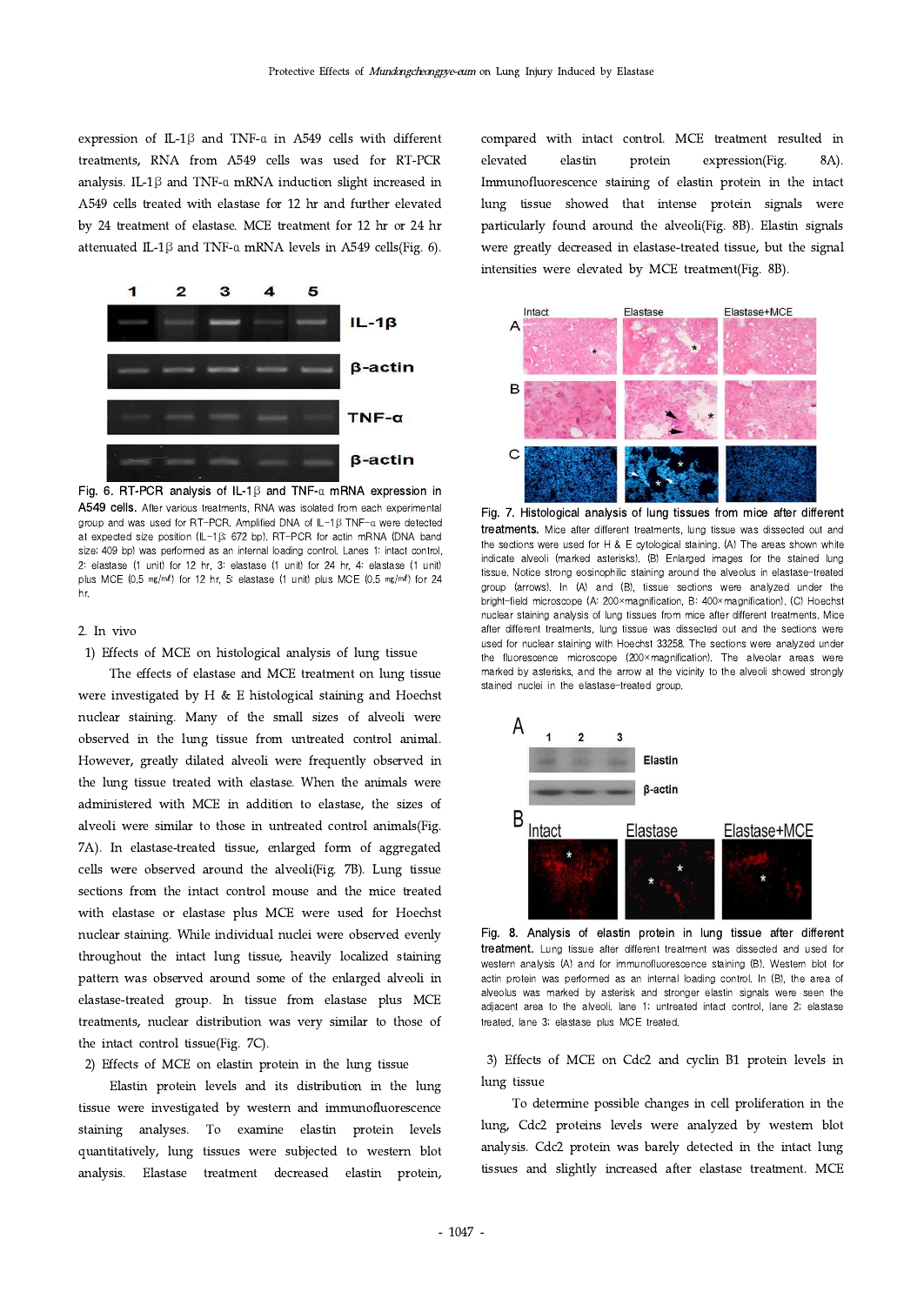expression of IL-1β and TNF-α in A549 cells with different treatments, RNA from A549 cells was used for RT-PCR elevated analysis. IL-1β and TNF-α mRNA induction slight increased in A549 cells treated with elastase for 12 hr and further elevated by 24 treatment of elastase. MCE treatment for 12 hr or 24 hr attenuated IL-1β and TNF-α mRNA levels in A549 cells(Fig. 6).



Fig. 6. RT-PCR analysis of IL-1β and TNF-α mRNA expression in A549 cells. After various treatments, RNA was isolated from each experimental group and was used for RT-PCR. Amplified DNA of IL-1β TNF-α were detected at expected size position (IL-1β; 672 bp).RT-PCR for actin mRNA (DNA band size; 409 bp) was performed as an internal loading control. Lanes 1: intact control, 2: elastase (1 unit) for 12 hr, 3: elastase (1 unit) for 24 hr, 4: elastase (1 unit) plus MCE (0.5  $mg/ml$ ) for 12 hr, 5: elastase (1 unit) plus MCE (0.5 mg/ml) for 24 hr.

### 2. In vivo

1) Effects of MCE on histological analysis of lung tissue

The effects of elastase and MCE treatment on lung tissue were investigated by H & E histological staining and Hoechst nuclear staining. Many of the small sizes of alveoli were observed in the lung tissue from untreated control animal. However, greatly dilated alveoli were frequently observed in the lung tissue treated with elastase. When the animals were administered with MCE in addition to elastase, the sizes of alveoli were similar to those in untreated control animals(Fig. 7A). In elastase-treated tissue, enlarged form of aggregated cells were observed around the alveoli(Fig. 7B). Lung tissue sections from the intact control mouse and the mice treated with elastase or elastase plus MCE were used for Hoechst nuclear staining. While individual nuclei were observed evenly throughout the intact lung tissue, heavily localized staining pattern was observed around some of the enlarged alveoli in elastase-treated group. In tissue from elastase plus MCE treatments, nuclear distribution was very similar to those of the intact control tissue(Fig. 7C).

### 2) Effects of MCE on elastin protein in the lung tissue

Elastin protein levels and its distribution in the lung tissue were investigated by western and immunofluorescence staining analyses. To examine elastin protein levels quantitatively, lung tissues were subjected to western blot analysis. Elastase treatment decreased elastin protein, compared with intact control. MCE treatment resulted in elastin protein expression(Fig. 8A). Immunofluorescence staining of elastin protein in the intact lung tissue showed that intense protein signals were particularly found around the alveoli(Fig. 8B). Elastin signals were greatly decreased in elastase-treated tissue, but the signal intensities were elevated by MCE treatment(Fig. 8B).



Fig. 7. Histological analysis of lung tissues from mice after different treatments. Mice after different treatments, lung tissue was dissected out and the sections were used for H & E cytological staining. (A) The areas shown white indicate alveoli (marked asterisks). (B) Enlarged images for the stained lung tissue. Notice strong eosinophilic staining around the alveolus in elastase-treated group (arrows). In (A) and (B), tissue sections were analyzed under the bright-field microscope (A: 200×magnification, B: 400×magnification). (C) Hoechst nuclear staining analysis of lung tissues from mice after different treatments. Mice after different treatments, lung tissue was dissected out and the sections were used for nuclear staining with Hoechst 33258. The sections were analyzed under the fluorescence microscope (200×magnification). The alveolar areas were marked by asterisks, and the arrow at the vicinity to the alveoli showed strongly stained nuclei in the elastase-treated group.



Fig. 8. Analysis of elastin protein in lung tissue after different treatment. Lung tissue after different treatment was dissected and used for western analysis (A) and for immunofluorescence staining (B). Western blot for actin protein was performed as an internal loading control. In (B), the area of alveolus was marked by asterisk and stronger elastin signals were seen the adjacent area to the alveoli. lane 1; untreated intact control, lane 2; elastase treated, lane 3; elastase plus MCE treated.

3) Effects of MCE on Cdc2 and cyclin B1 protein levels in lung tissue

To determine possible changes in cell proliferation in the lung, Cdc2 proteins levels were analyzed by western blot analysis. Cdc2 protein was barely detected in the intact lung tissues and slightly increased after elastase treatment. MCE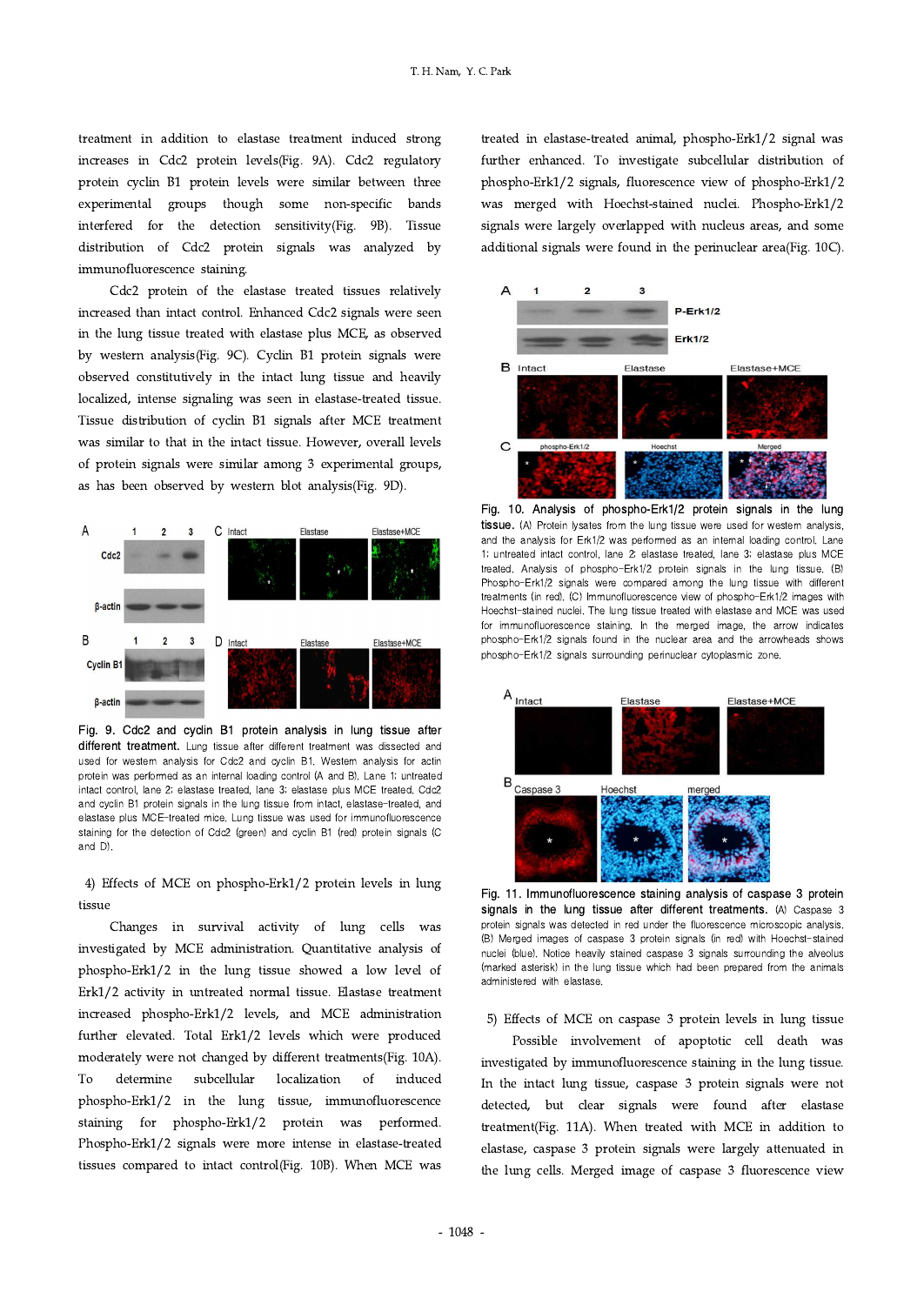treatment in addition to elastase treatment induced strong increases in Cdc2 protein levels(Fig. 9A). Cdc2 regulatory protein cyclin B1 protein levels were similar between three experimental groups though some non-specific bands interfered for the detection sensitivity(Fig. 9B). Tissue distribution of Cdc2 protein signals was analyzed by immunofluorescence staining.

Cdc2 protein of the elastase treated tissues relatively increased than intact control. Enhanced Cdc2 signals were seen in the lung tissue treated with elastase plus MCE, as observed by western analysis(Fig. 9C). Cyclin B1 protein signals were observed constitutively in the intact lung tissue and heavily localized, intense signaling was seen in elastase-treated tissue. Tissue distribution of cyclin B1 signals after MCE treatment was similar to that in the intact tissue. However, overall levels of protein signals were similar among 3 experimental groups, as has been observed by western blot analysis(Fig. 9D).



Fig. 9. Cdc2 and cyclin B1 protein analysis in lung tissue after different treatment. Lung tissue after different treatment was dissected and used for western analysis for Cdc2 and cyclin B1. Western analysis for actin protein was performed as an internal loading control (A and B). Lane 1; untreated intact control, lane 2; elastase treated, lane 3; elastase plus MCE treated. Cdc2 and cyclin B1 protein signals in the lung tissue from intact, elastase-treated, and elastase plus MCE-treated mice. Lung tissue was used for immunofluorescence staining for the detection of Cdc2 (green) and cyclin B1 (red) protein signals (C and D).

4) Effects of MCE on phospho-Erk1/2 protein levels in lung tissue

Changes in survival activity of lung cells was investigated by MCE administration. Quantitative analysis of phospho-Erk1/2 in the lung tissue showed a low level of Erk1/2 activity in untreated normal tissue. Elastase treatment increased phospho-Erk1/2 levels, and MCE administration further elevated. Total Erk1/2 levels which were produced moderately were not changed by different treatments(Fig. 10A). To determine subcellular localization of induced phospho-Erk1/2 in the lung tissue, immunofluorescence staining for phospho-Erk1/2 protein was performed. Phospho-Erk1/2 signals were more intense in elastase-treated tissues compared to intact control(Fig. 10B). When MCE was treated in elastase-treated animal, phospho-Erk1/2 signal was further enhanced. To investigate subcellular distribution of phospho-Erk1/2 signals, fluorescence view of phospho-Erk1/2 was merged with Hoechst-stained nuclei. Phospho-Erk1/2 signals were largely overlapped with nucleus areas, and some additional signals were found in the perinuclear area(Fig. 10C).



Fig. 10. Analysis of phospho-Erk1/2 protein signals in the lung tissue. (A) Protein lysates from the lung tissue were used for western analysis, and the analysis for Erk1/2 was performed as an internal loading control. Lane 1; untreated intact control, lane 2; elastase treated, lane 3; elastase plus MCE treated. Analysis of phospho-Erk1/2 protein signals in the lung tissue. (B) Phospho-Erk1/2 signals were compared among the lung tissue with different treatments (in red). (C) Immunofluorescence view of phospho-Erk1/2 images with Hoechst-stained nuclei. The lung tissue treated with elastase and MCE was used for immunofluorescence staining. In the merged image, the arrow indicates phospho-Erk1/2 signals found in the nuclear area and the arrowheads shows phospho-Erk1/2 signals surrounding perinuclear cytoplasmic zone.



Fig. 11. Immunofluorescence staining analysis of caspase 3 protein signals in the lung tissue after different treatments. (A) Caspase 3 protein signals was detected in red under the fluorescence microscopic analysis. (B) Merged images of caspase 3 protein signals (in red) with Hoechst-stained nuclei (blue). Notice heavily stained caspase 3 signals surrounding the alveolus (marked asterisk) in the lung tissue which had been prepared from the animals administered with elastase.

5) Effects of MCE on caspase 3 protein levels in lung tissue

Possible involvement of apoptotic cell death was investigated by immunofluorescence staining in the lung tissue. In the intact lung tissue, caspase 3 protein signals were not detected, but clear signals were found after elastase treatment(Fig. 11A). When treated with MCE in addition to elastase, caspase 3 protein signals were largely attenuated in the lung cells. Merged image of caspase 3 fluorescence view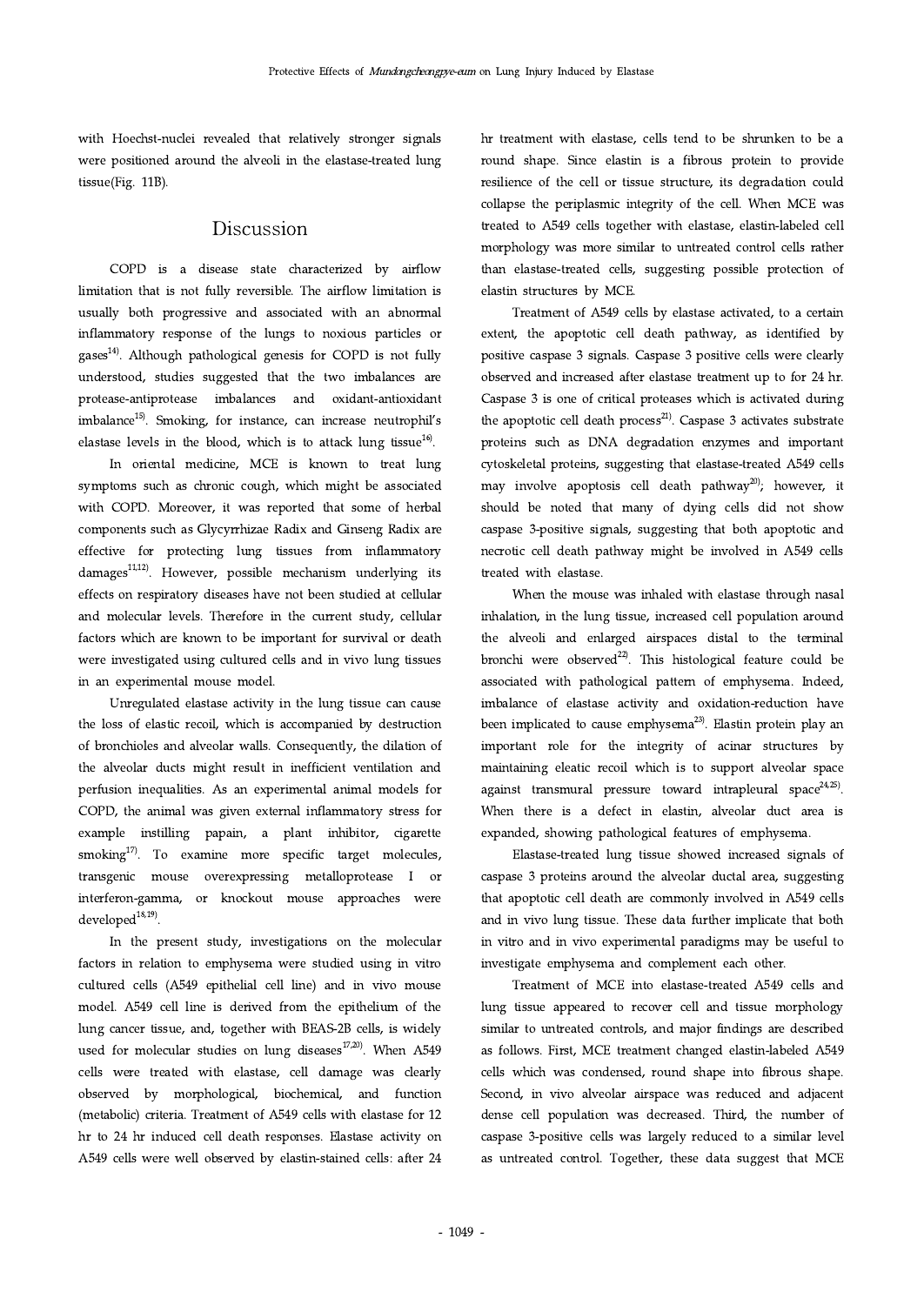with Hoechst-nuclei revealed that relatively stronger signals were positioned around the alveoli in the elastase-treated lung tissue(Fig. 11B).

# Discussion

COPD is a disease state characterized by airflow limitation that is not fully reversible. The airflow limitation is usually both progressive and associated with an abnormal inflammatory response of the lungs to noxious particles or  $gases<sup>14</sup>$ . Although pathological genesis for COPD is not fully understood, studies suggested that the two imbalances are protease-antiprotease imbalances and oxidant-antioxidant imbalance<sup>15)</sup>. Smoking, for instance, can increase neutrophil's elastase levels in the blood, which is to attack lung tissue $^{16}$ .

In oriental medicine, MCE is known to treat lung symptoms such as chronic cough, which might be associated with COPD. Moreover, it was reported that some of herbal components such asGlycyrrhizae Radix and Ginseng Radix are effective for protecting lung tissues from inflammatory damages $^{11,12}$ . However, possible mechanism underlying its effects on respiratory diseases have not been studied at cellular and molecular levels. Therefore in the current study, cellular factors which are known to be important for survival or death were investigated using cultured cells and in vivo lung tissues in an experimental mouse model.

Unregulated elastase activity in the lung tissue can cause the loss of elastic recoil, which is accompanied by destruction of bronchioles and alveolar walls. Consequently, the dilation of the alveolar ducts might result in inefficient ventilation and perfusion inequalities. As an experimental animal models for COPD, the animal was given external inflammatory stress for example instilling papain, a plant inhibitor, cigarette smoking $17$ . To examine more specific target molecules, transgenic mouse overexpressing metalloprotease I or interferon-gamma, or knockout mouse approaches were developed $18,19$ .

In the present study, investigations on the molecular factors in relation to emphysema were studied using in vitro cultured cells (A549 epithelial cell line) and in vivo mouse model. A549 cell line is derived from the epithelium of the lung cancer tissue, and, together with BEAS-2B cells, is widely used for molecular studies on lung diseases $17,20$ . When A549 cells were treated with elastase, cell damage was clearly observed by morphological, biochemical, and function (metabolic) criteria. Treatment of A549 cells with elastase for 12 hr to 24 hr induced cell death responses. Elastase activity on A549 cells were well observed by elastin-stained cells: after 24 hr treatment with elastase, cells tend to be shrunken to be a round shape. Since elastin is a fibrous protein to provide resilience of the cell or tissue structure, its degradation could collapse the periplasmic integrity of the cell. When MCE was treated to A549 cells together with elastase, elastin-labeled cell morphology was more similar to untreated control cells rather than elastase-treated cells, suggesting possible protection of elastin structures by MCE.

Treatment of A549 cells by elastase activated, to a certain extent, the apoptotic cell death pathway, as identified by positive caspase 3 signals. Caspase 3 positive cells were clearly observed and increased after elastase treatment up to for 24 hr. Caspase 3 is one of critical proteases which is activated during the apoptotic cell death process<sup>21)</sup>. Caspase 3 activates substrate proteins such as DNA degradation enzymes and important cytoskeletal proteins, suggesting that elastase-treated A549 cells may involve apoptosis cell death pathway<sup>20</sup>); however, it should be noted that many of dying cells did not show caspase 3-positive signals, suggesting that both apoptotic and necrotic cell death pathway might be involved in A549 cells treated with elastase.

When the mouse was inhaled with elastase through nasal inhalation, in the lung tissue, increased cell population around the alveoli and enlarged airspaces distal to the terminal bronchi were observed $^{22}$ . This histological feature could be associated with pathological pattern of emphysema. Indeed, imbalance of elastase activity and oxidation-reduction have been implicated to cause emphysema $^{23)}$ . Elastin protein play an important role for the integrity of acinar structures by maintaining eleatic recoil which is to support alveolar space against transmural pressure toward intrapleural space $24.25$ ). When there is a defect in elastin, alveolar duct area is expanded, showing pathological features of emphysema.

Elastase-treated lung tissue showed increased signals of caspase 3 proteins around the alveolar ductal area, suggesting that apoptotic cell death are commonly involved in A549 cells and in vivo lung tissue. These data further implicate that both in vitro and in vivo experimental paradigms may be useful to investigate emphysema and complement each other.

Treatment of MCE into elastase-treated A549 cells and lung tissue appeared to recover cell and tissue morphology similar to untreated controls, and major findings are described as follows. First, MCE treatment changed elastin-labeled A549 cells which was condensed, round shape into fibrous shape. Second, in vivo alveolar airspace was reduced and adjacent dense cell population was decreased. Third, the number of caspase 3-positive cells was largely reduced to a similar level as untreated control. Together, these data suggest that MCE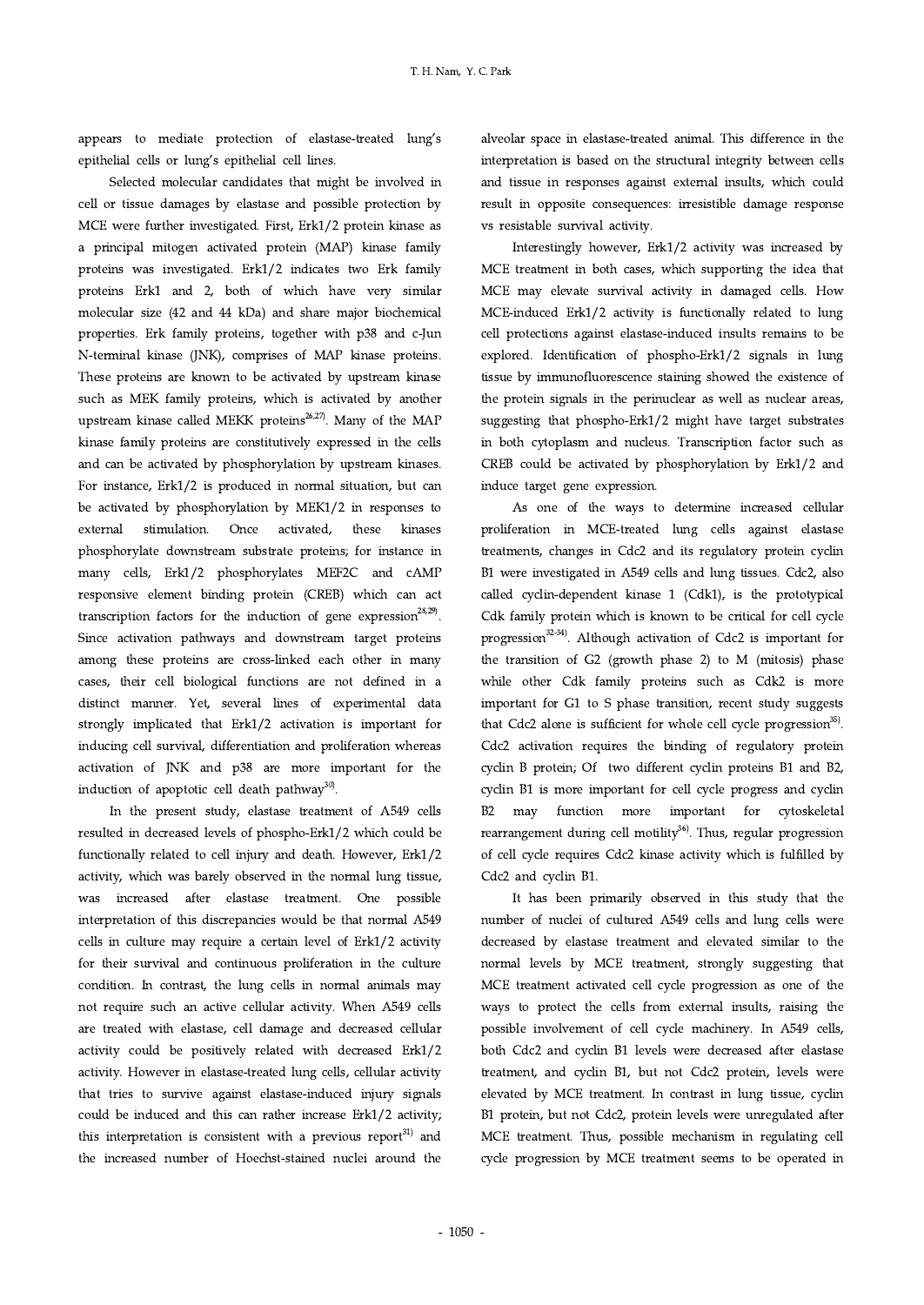appears to mediate protection of elastase-treated lung's epithelial cells or lung's epithelial cell lines.

Selected molecular candidates that might be involved in cell or tissue damages by elastase and possible protection by MCE were further investigated. First, Erk1/2 protein kinase as a principal mitogen activated protein (MAP) kinase family proteins was investigated. Erk1/2 indicates two Erk family proteins Erk1 and 2, both of which have very similar molecular size (42 and 44 kDa) and share major biochemical properties. Erk family proteins, together with p38 and c-Jun N-terminal kinase (JNK), comprises of MAP kinase proteins. These proteins are known to be activated by upstream kinase such as MEK family proteins, which is activated by another upstream kinase called MEKK proteins<sup>26,27)</sup>. Many of the MAP kinase family proteins are constitutively expressed in the cells and can be activated by phosphorylation by upstream kinases. For instance, Erk1/2 is produced in normal situation, but can be activated by phosphorylation by MEK1/2 in responses to external stimulation. Once activated, these kinases phosphorylate downstream substrate proteins; for instance in many cells, Erk1/2 phosphorylates MEF2C and cAMP responsive element binding protein (CREB) which can act transcription factors for the induction of gene expression<sup>28,29</sup>. Since activation pathways and downstream target proteins among these proteins are cross-linked each other in many cases, their cell biological functions are not defined in a distinct manner. Yet, several lines of experimental data strongly implicated that Erk1/2 activation is important for inducing cell survival, differentiation and proliferation whereas activation of JNK and p38 are more important for the induction of apoptotic cell death pathway<sup>30)</sup>.

In the present study, elastase treatment of A549 cells resulted in decreased levels of phospho-Erk1/2 which could be functionally related to cell injury and death. However, Erk1/2 activity, which was barely observed in the normal lung tissue, was increased after elastase treatment. One possible interpretation of this discrepancies would be that normal A549 cells in culture may require a certain level of Erk1/2 activity for their survival and continuous proliferation in the culture condition. In contrast, the lung cells in normal animals may not require such an active cellular activity. When A549 cells are treated with elastase, cell damage and decreased cellular activity could be positively related with decreased Erk1/2 activity. However in elastase-treated lung cells, cellular activity that tries to survive against elastase-induced injury signals could be induced and this can rather increase Erk1/2 activity; this interpretation is consistent with a previous report<sup>31)</sup> and the increased number of Hoechst-stained nuclei around the alveolar space in elastase-treated animal. This difference in the interpretation is based on the structural integrity between cells and tissue in responses against external insults, which could result in opposite consequences: irresistible damage response vs resistable survival activity.

Interestingly however, Erk1/2 activity was increased by MCE treatment in both cases, which supporting the idea that MCE may elevate survival activity in damaged cells. How MCE-induced Erk1/2 activity is functionally related to lung cell protections against elastase-induced insults remains to be explored. Identification of phospho-Erk1/2 signals in lung tissue by immunofluorescence staining showed the existence of the protein signals in the perinuclear as well as nuclear areas, suggesting that phospho-Erk1/2 might have target substrates in both cytoplasm and nucleus. Transcription factor such as CREB could be activated by phosphorylation by Erk1/2 and induce target gene expression.

As one of the ways to determine increased cellular proliferation in MCE-treated lung cells against elastase treatments, changes in Cdc2 and its regulatory protein cyclin B1 were investigated in A549 cells and lung tissues. Cdc2, also called cyclin-dependent kinase 1 (Cdk1), is the prototypical Cdk family protein which is known to be critical for cell cycle progression<sup>32-34)</sup>. Although activation of Cdc2 is important for the transition of G2 (growth phase 2) to M (mitosis) phase while other Cdk family proteins such as Cdk2 is more important for G1 to S phase transition, recent study suggests that Cdc2 alone is sufficient for whole cell cycle progression $35$ . Cdc2 activation requires the binding of regulatory protein cyclin B protein; Of two different cyclin proteins B1 and B2, cyclin B1 is more important for cell cycle progress and cyclin B2 may function more important for cytoskeletal rearrangement during cell motility<sup>36</sup>. Thus, regular progression of cell cycle requires Cdc2 kinase activity which is fulfilled by Cdc2 and cyclin B1.

It has been primarily observed in this study that the number of nuclei of cultured A549 cells and lung cells were decreased by elastase treatment and elevated similar to the normal levels by MCE treatment, strongly suggesting that MCE treatment activated cell cycle progression as one of the ways to protect the cells from external insults, raising the possible involvement of cell cycle machinery. In A549 cells, both Cdc2 and cyclin B1 levels were decreased after elastase treatment, and cyclin B1, but not Cdc2 protein, levels were elevated by MCE treatment. In contrast in lung tissue, cyclin B1 protein, but not Cdc2, protein levels were unregulated after MCE treatment. Thus, possible mechanism in regulating cell cycle progression by MCE treatment seems to be operated in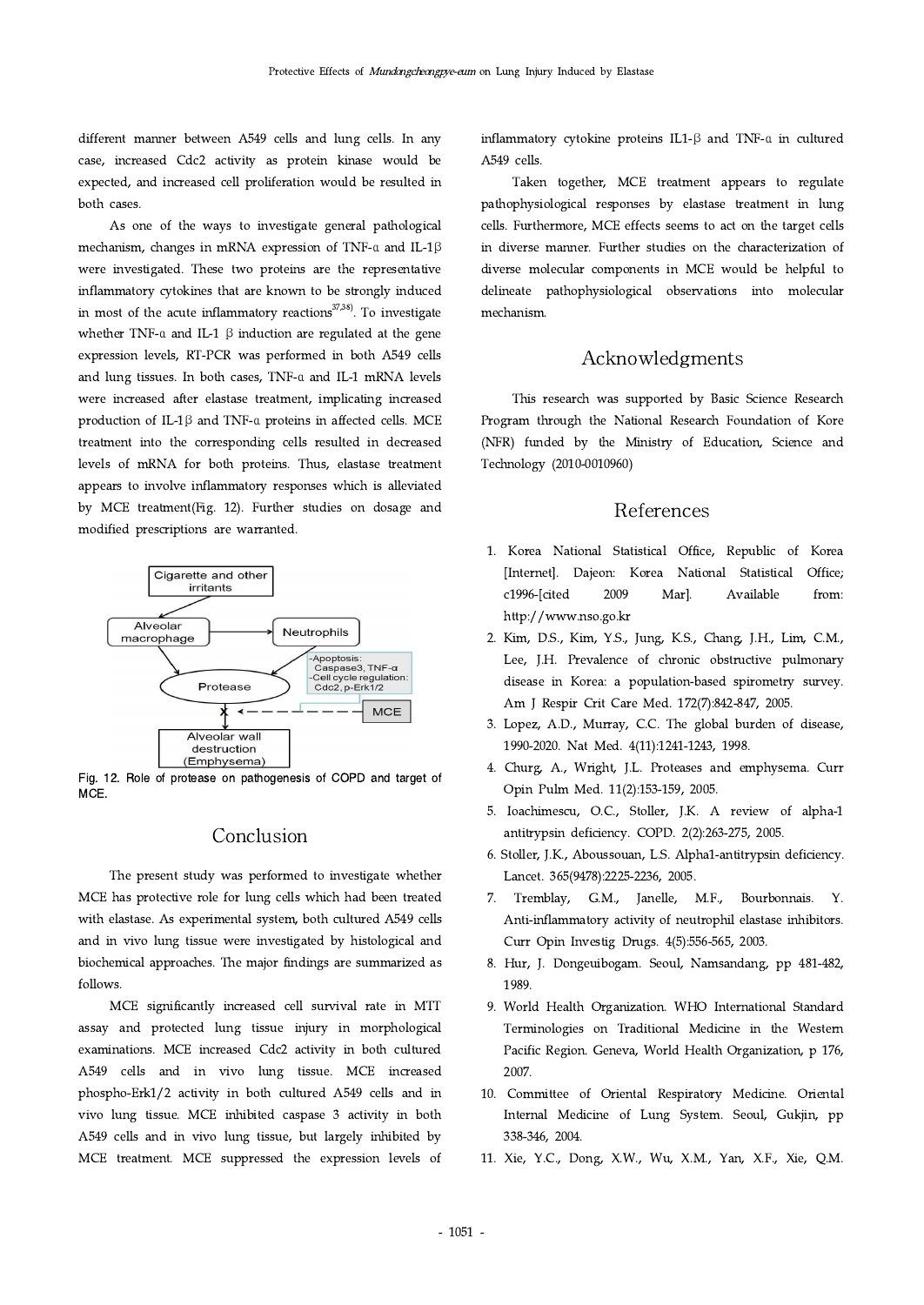different manner between A549 cells and lung cells. In any case, increased Cdc2 activity as protein kinase would be expected, and increased cell proliferation would be resulted in both cases.

As one of the ways to investigate general pathological mechanism, changes in mRNA expression of TNF-α and IL-1β were investigated. These two proteins are the representative inflammatory cytokines that are known to be strongly induced in most of the acute inflammatory reactions $37,38$ ). To investigate whether TNF-a and IL-1  $\beta$  induction are regulated at the gene expression levels, RT-PCR was performed in both A549 cells and lung tissues. In both cases, TNF-α and IL-1 mRNA levels were increased after elastase treatment, implicating increased production of IL-1β and TNF-α proteins in affected cells. MCE treatment into the corresponding cells resulted in decreased levels of mRNA for both proteins. Thus, elastase treatment appears to involve inflammatory responses which is alleviated by MCE treatment(Fig. 12). Further studies on dosage and modified prescriptions are warranted.



Fig. 12. Role of protease on pathogenesis of COPD and target of MCE.

## Conclusion

The present study was performed to investigate whether MCE has protective role for lung cells which had been treated  $7.$ with elastase. As experimental system, both cultured A549 cells and in vivo lung tissue were investigated by histological and biochemical approaches. The major findings are summarized as follows.

MCE significantly increased cell survival rate in MTT assay and protected lung tissue injury in morphological examinations. MCE increased Cdc2 activity in both cultured A549 cells and in vivo lung tissue. MCE increased phospho-Erk1/2 activity in both cultured A549 cells and in vivo lung tissue. MCE inhibited caspase 3 activity in both A549 cells and in vivo lung tissue, but largely inhibited by MCE treatment. MCE suppressed the expression levels of inflammatory cytokine proteins IL1-β and TNF-α in cultured A549 cells.

Taken together, MCE treatment appears to regulate pathophysiological responses by elastase treatment in lung cells. Furthermore, MCE effects seems to act on the target cells in diverse manner. Further studies on the characterization of diverse molecular components in MCE would be helpful to delineate pathophysiological observations into molecular mechanism.

## Acknowledgments

This research was supported by Basic Science Research Program through the National Research Foundation of Kore (NFR) funded by the Ministry of Education, Science and Technology (2010-0010960)

# References

- 1. Korea National Statistical Office, Republic of Korea [Internet]. Dajeon: Korea National Statistical Office; c1996-[cited 2009 Mar]. Available from: http://www.nso.go.kr
- 2. Kim, D.S., Kim, Y.S., Jung, K.S., Chang, J.H., Lim, C.M., Lee, J.H. Prevalence of chronic obstructive pulmonary disease in Korea: a population-based spirometry survey. Am J Respir Crit Care Med. 172(7):842-847, 2005.
- 3. Lopez, A.D., Murray, C.C. The global burden of disease, 1990-2020. Nat Med. 4(11):1241-1243, 1998.
- 4. Churg, A., Wright, J.L. Proteases and emphysema. Curr Opin Pulm Med. 11(2):153-159, 2005.
- 5. Ioachimescu, O.C., Stoller, J.K. A review of alpha-1 antitrypsin deficiency. COPD. 2(2):263-275, 2005.
- 6. Stoller, J.K., Aboussouan, L.S. Alpha1-antitrypsin deficiency. Lancet. 365(9478):2225-2236, 2005.
- 7. Tremblay, G.M., Janelle, M.F., Bourbonnais. Y. Anti-inflammatory activity of neutrophil elastase inhibitors. Curr Opin Investig Drugs. 4(5):556-565, 2003.
- 8. Hur, J. Dongeuibogam. Seoul, Namsandang, pp 481-482, 1989.
- 9. World Health Organization. WHO International Standard Terminologies on Traditional Medicine in the Western Pacific Region. Geneva, World Health Organization, p 176, 2007.
- 10. Committee of Oriental Respiratory Medicine. Oriental Internal Medicine of Lung System. Seoul, Gukjin, pp 338-346, 2004.
- 11. Xie, Y.C., Dong, X.W., Wu, X.M., Yan, X.F., Xie, Q.M.